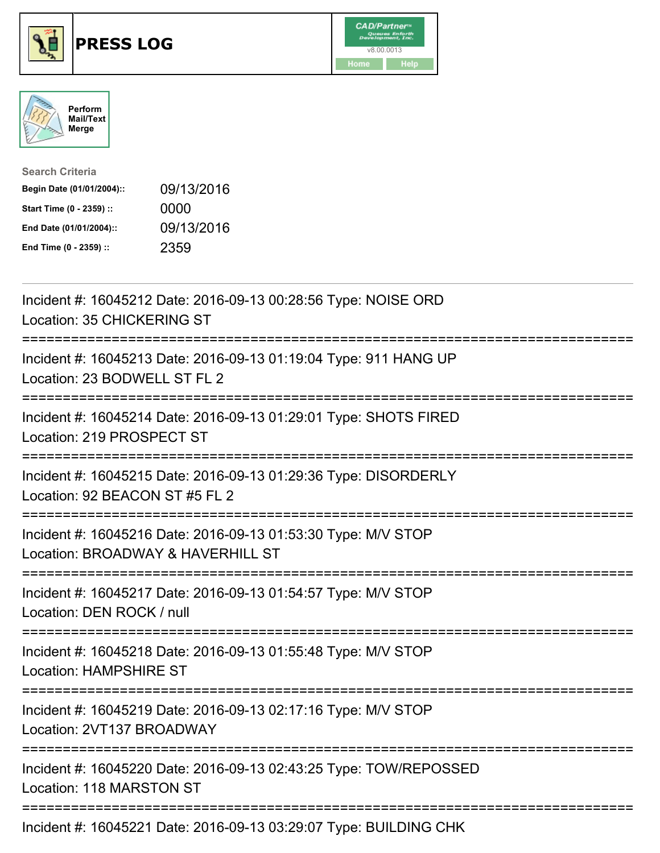





| <b>Search Criteria</b>    |            |
|---------------------------|------------|
| Begin Date (01/01/2004):: | 09/13/2016 |
| Start Time (0 - 2359) ::  | 0000       |
| End Date (01/01/2004)::   | 09/13/2016 |
| End Time (0 - 2359) ::    | 2359       |

| Incident #: 16045212 Date: 2016-09-13 00:28:56 Type: NOISE ORD<br>Location: 35 CHICKERING ST                                     |
|----------------------------------------------------------------------------------------------------------------------------------|
| Incident #: 16045213 Date: 2016-09-13 01:19:04 Type: 911 HANG UP<br>Location: 23 BODWELL ST FL 2                                 |
| Incident #: 16045214 Date: 2016-09-13 01:29:01 Type: SHOTS FIRED<br>Location: 219 PROSPECT ST                                    |
| Incident #: 16045215 Date: 2016-09-13 01:29:36 Type: DISORDERLY<br>Location: 92 BEACON ST #5 FL 2<br>=======================     |
| Incident #: 16045216 Date: 2016-09-13 01:53:30 Type: M/V STOP<br>Location: BROADWAY & HAVERHILL ST<br>========================   |
| Incident #: 16045217 Date: 2016-09-13 01:54:57 Type: M/V STOP<br>Location: DEN ROCK / null                                       |
| Incident #: 16045218 Date: 2016-09-13 01:55:48 Type: M/V STOP<br><b>Location: HAMPSHIRE ST</b>                                   |
| :=================================<br>Incident #: 16045219 Date: 2016-09-13 02:17:16 Type: M/V STOP<br>Location: 2VT137 BROADWAY |
| Incident #: 16045220 Date: 2016-09-13 02:43:25 Type: TOW/REPOSSED<br>Location: 118 MARSTON ST                                    |
| $I_{\text{no}}$ dent #: 16015221 Dete: 2016 00:12 02:20:07 Tune: DUILDING CUIL                                                   |

Incident #: 16045221 Date: 2016-09-13 03:29:07 Type: BUILDING CHK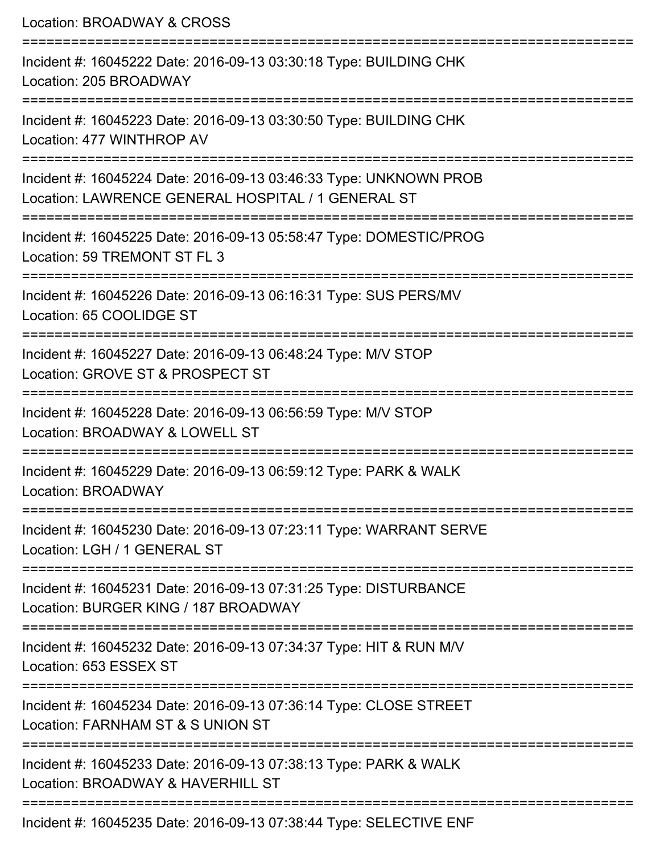Location: BROADWAY & CROSS

| Incident #: 16045222 Date: 2016-09-13 03:30:18 Type: BUILDING CHK<br>Location: 205 BROADWAY                             |
|-------------------------------------------------------------------------------------------------------------------------|
| Incident #: 16045223 Date: 2016-09-13 03:30:50 Type: BUILDING CHK<br>Location: 477 WINTHROP AV                          |
| Incident #: 16045224 Date: 2016-09-13 03:46:33 Type: UNKNOWN PROB<br>Location: LAWRENCE GENERAL HOSPITAL / 1 GENERAL ST |
| Incident #: 16045225 Date: 2016-09-13 05:58:47 Type: DOMESTIC/PROG<br>Location: 59 TREMONT ST FL 3                      |
| Incident #: 16045226 Date: 2016-09-13 06:16:31 Type: SUS PERS/MV<br>Location: 65 COOLIDGE ST                            |
| Incident #: 16045227 Date: 2016-09-13 06:48:24 Type: M/V STOP<br>Location: GROVE ST & PROSPECT ST                       |
| Incident #: 16045228 Date: 2016-09-13 06:56:59 Type: M/V STOP<br>Location: BROADWAY & LOWELL ST                         |
| Incident #: 16045229 Date: 2016-09-13 06:59:12 Type: PARK & WALK<br><b>Location: BROADWAY</b>                           |
| Incident #: 16045230 Date: 2016-09-13 07:23:11 Type: WARRANT SERVE<br>Location: LGH / 1 GENERAL ST                      |
| Incident #: 16045231 Date: 2016-09-13 07:31:25 Type: DISTURBANCE<br>Location: BURGER KING / 187 BROADWAY                |
| Incident #: 16045232 Date: 2016-09-13 07:34:37 Type: HIT & RUN M/V<br>Location: 653 ESSEX ST                            |
| Incident #: 16045234 Date: 2016-09-13 07:36:14 Type: CLOSE STREET<br>Location: FARNHAM ST & S UNION ST                  |
| Incident #: 16045233 Date: 2016-09-13 07:38:13 Type: PARK & WALK<br>Location: BROADWAY & HAVERHILL ST                   |
| Incident #: 16045235 Date: 2016-09-13 07:38:44 Type: SELECTIVE ENF                                                      |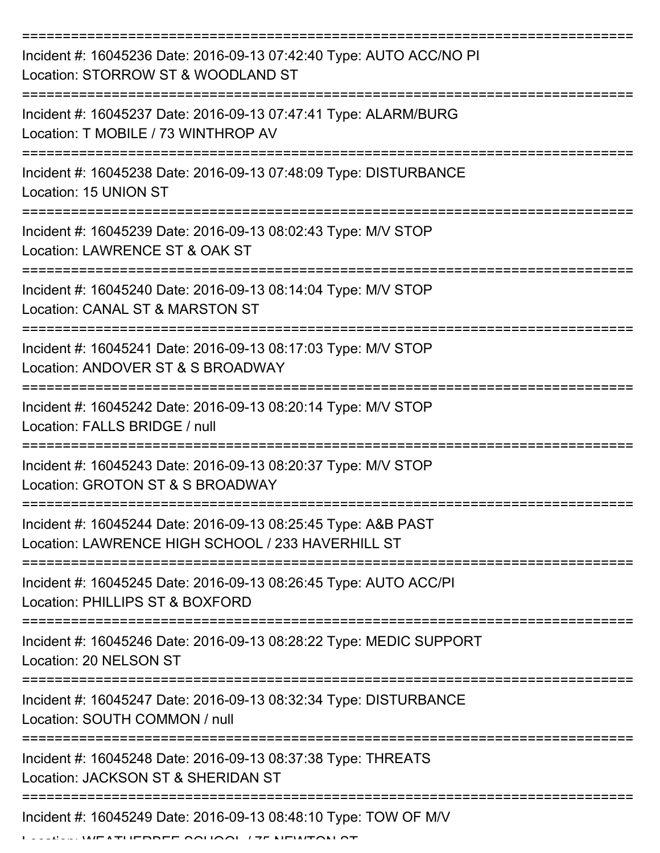| Incident #: 16045236 Date: 2016-09-13 07:42:40 Type: AUTO ACC/NO PI<br>Location: STORROW ST & WOODLAND ST          |
|--------------------------------------------------------------------------------------------------------------------|
| Incident #: 16045237 Date: 2016-09-13 07:47:41 Type: ALARM/BURG<br>Location: T MOBILE / 73 WINTHROP AV             |
| Incident #: 16045238 Date: 2016-09-13 07:48:09 Type: DISTURBANCE<br>Location: 15 UNION ST                          |
| Incident #: 16045239 Date: 2016-09-13 08:02:43 Type: M/V STOP<br>Location: LAWRENCE ST & OAK ST                    |
| Incident #: 16045240 Date: 2016-09-13 08:14:04 Type: M/V STOP<br>Location: CANAL ST & MARSTON ST                   |
| Incident #: 16045241 Date: 2016-09-13 08:17:03 Type: M/V STOP<br>Location: ANDOVER ST & S BROADWAY                 |
| Incident #: 16045242 Date: 2016-09-13 08:20:14 Type: M/V STOP<br>Location: FALLS BRIDGE / null                     |
| Incident #: 16045243 Date: 2016-09-13 08:20:37 Type: M/V STOP<br>Location: GROTON ST & S BROADWAY                  |
| Incident #: 16045244 Date: 2016-09-13 08:25:45 Type: A&B PAST<br>Location: LAWRENCE HIGH SCHOOL / 233 HAVERHILL ST |
| Incident #: 16045245 Date: 2016-09-13 08:26:45 Type: AUTO ACC/PI<br>Location: PHILLIPS ST & BOXFORD                |
| Incident #: 16045246 Date: 2016-09-13 08:28:22 Type: MEDIC SUPPORT<br>Location: 20 NELSON ST                       |
| Incident #: 16045247 Date: 2016-09-13 08:32:34 Type: DISTURBANCE<br>Location: SOUTH COMMON / null                  |
| Incident #: 16045248 Date: 2016-09-13 08:37:38 Type: THREATS<br>Location: JACKSON ST & SHERIDAN ST                 |
| Incident #: 16045249 Date: 2016-09-13 08:48:10 Type: TOW OF M/V                                                    |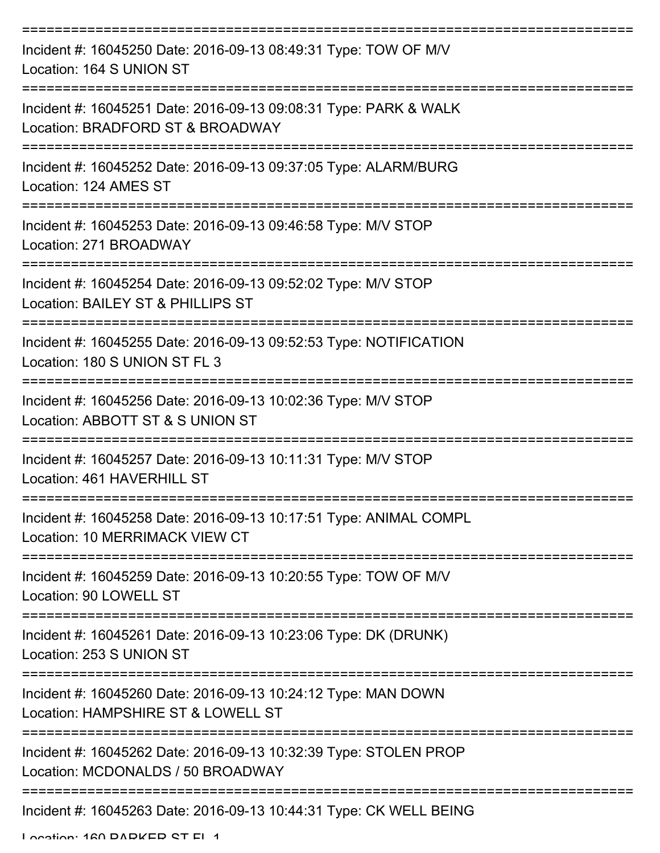| Incident #: 16045250 Date: 2016-09-13 08:49:31 Type: TOW OF M/V<br>Location: 164 S UNION ST           |
|-------------------------------------------------------------------------------------------------------|
| Incident #: 16045251 Date: 2016-09-13 09:08:31 Type: PARK & WALK<br>Location: BRADFORD ST & BROADWAY  |
| Incident #: 16045252 Date: 2016-09-13 09:37:05 Type: ALARM/BURG<br>Location: 124 AMES ST              |
| Incident #: 16045253 Date: 2016-09-13 09:46:58 Type: M/V STOP<br>Location: 271 BROADWAY               |
| Incident #: 16045254 Date: 2016-09-13 09:52:02 Type: M/V STOP<br>Location: BAILEY ST & PHILLIPS ST    |
| Incident #: 16045255 Date: 2016-09-13 09:52:53 Type: NOTIFICATION<br>Location: 180 S UNION ST FL 3    |
| Incident #: 16045256 Date: 2016-09-13 10:02:36 Type: M/V STOP<br>Location: ABBOTT ST & S UNION ST     |
| Incident #: 16045257 Date: 2016-09-13 10:11:31 Type: M/V STOP<br>Location: 461 HAVERHILL ST           |
| Incident #: 16045258 Date: 2016-09-13 10:17:51 Type: ANIMAL COMPL<br>Location: 10 MERRIMACK VIEW CT   |
| Incident #: 16045259 Date: 2016-09-13 10:20:55 Type: TOW OF M/V<br>Location: 90 LOWELL ST             |
| Incident #: 16045261 Date: 2016-09-13 10:23:06 Type: DK (DRUNK)<br>Location: 253 S UNION ST           |
| Incident #: 16045260 Date: 2016-09-13 10:24:12 Type: MAN DOWN<br>Location: HAMPSHIRE ST & LOWELL ST   |
| Incident #: 16045262 Date: 2016-09-13 10:32:39 Type: STOLEN PROP<br>Location: MCDONALDS / 50 BROADWAY |
| Incident #: 16045263 Date: 2016-09-13 10:44:31 Type: CK WELL BEING                                    |

Location: 160 DADKED CT EL 1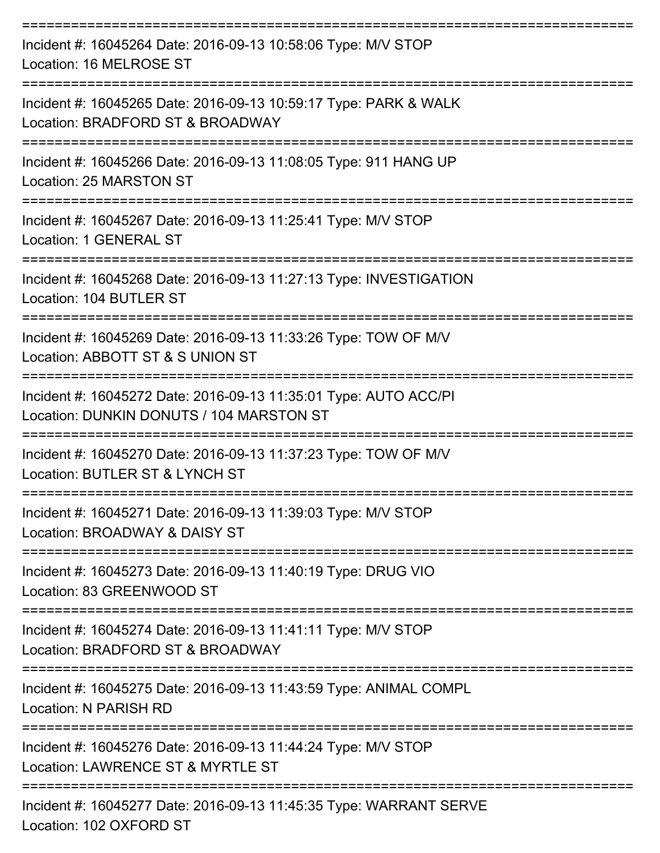| Incident #: 16045264 Date: 2016-09-13 10:58:06 Type: M/V STOP<br>Location: 16 MELROSE ST                              |
|-----------------------------------------------------------------------------------------------------------------------|
| Incident #: 16045265 Date: 2016-09-13 10:59:17 Type: PARK & WALK<br>Location: BRADFORD ST & BROADWAY                  |
| Incident #: 16045266 Date: 2016-09-13 11:08:05 Type: 911 HANG UP<br>Location: 25 MARSTON ST                           |
| Incident #: 16045267 Date: 2016-09-13 11:25:41 Type: M/V STOP<br>Location: 1 GENERAL ST                               |
| Incident #: 16045268 Date: 2016-09-13 11:27:13 Type: INVESTIGATION<br>Location: 104 BUTLER ST<br>-------------------- |
| Incident #: 16045269 Date: 2016-09-13 11:33:26 Type: TOW OF M/V<br>Location: ABBOTT ST & S UNION ST                   |
| Incident #: 16045272 Date: 2016-09-13 11:35:01 Type: AUTO ACC/PI<br>Location: DUNKIN DONUTS / 104 MARSTON ST          |
| Incident #: 16045270 Date: 2016-09-13 11:37:23 Type: TOW OF M/V<br>Location: BUTLER ST & LYNCH ST                     |
| Incident #: 16045271 Date: 2016-09-13 11:39:03 Type: M/V STOP<br>Location: BROADWAY & DAISY ST                        |
| Incident #: 16045273 Date: 2016-09-13 11:40:19 Type: DRUG VIO<br>Location: 83 GREENWOOD ST                            |
| Incident #: 16045274 Date: 2016-09-13 11:41:11 Type: M/V STOP<br>Location: BRADFORD ST & BROADWAY                     |
| Incident #: 16045275 Date: 2016-09-13 11:43:59 Type: ANIMAL COMPL<br>Location: N PARISH RD                            |
| Incident #: 16045276 Date: 2016-09-13 11:44:24 Type: M/V STOP<br>Location: LAWRENCE ST & MYRTLE ST                    |
| Incident #: 16045277 Date: 2016-09-13 11:45:35 Type: WARRANT SERVE                                                    |

Location: 102 OXFORD ST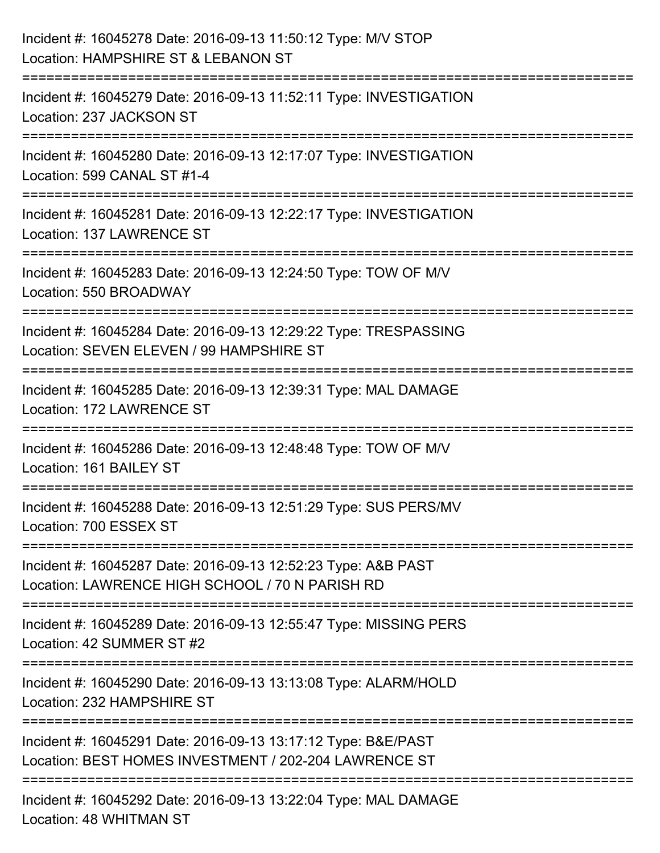| Incident #: 16045278 Date: 2016-09-13 11:50:12 Type: M/V STOP<br>Location: HAMPSHIRE ST & LEBANON ST                                                         |
|--------------------------------------------------------------------------------------------------------------------------------------------------------------|
| =====================<br>Incident #: 16045279 Date: 2016-09-13 11:52:11 Type: INVESTIGATION<br>Location: 237 JACKSON ST<br>:==================               |
| Incident #: 16045280 Date: 2016-09-13 12:17:07 Type: INVESTIGATION<br>Location: 599 CANAL ST #1-4                                                            |
| Incident #: 16045281 Date: 2016-09-13 12:22:17 Type: INVESTIGATION<br>Location: 137 LAWRENCE ST                                                              |
| Incident #: 16045283 Date: 2016-09-13 12:24:50 Type: TOW OF M/V<br>Location: 550 BROADWAY                                                                    |
| Incident #: 16045284 Date: 2016-09-13 12:29:22 Type: TRESPASSING<br>Location: SEVEN ELEVEN / 99 HAMPSHIRE ST                                                 |
| ---------------------<br>-----------------------------------<br>Incident #: 16045285 Date: 2016-09-13 12:39:31 Type: MAL DAMAGE<br>Location: 172 LAWRENCE ST |
| Incident #: 16045286 Date: 2016-09-13 12:48:48 Type: TOW OF M/V<br>Location: 161 BAILEY ST                                                                   |
| Incident #: 16045288 Date: 2016-09-13 12:51:29 Type: SUS PERS/MV<br>Location: 700 ESSEX ST                                                                   |
| Incident #: 16045287 Date: 2016-09-13 12:52:23 Type: A&B PAST<br>Location: LAWRENCE HIGH SCHOOL / 70 N PARISH RD                                             |
| Incident #: 16045289 Date: 2016-09-13 12:55:47 Type: MISSING PERS<br>Location: 42 SUMMER ST #2                                                               |
| Incident #: 16045290 Date: 2016-09-13 13:13:08 Type: ALARM/HOLD<br>Location: 232 HAMPSHIRE ST                                                                |
| Incident #: 16045291 Date: 2016-09-13 13:17:12 Type: B&E/PAST<br>Location: BEST HOMES INVESTMENT / 202-204 LAWRENCE ST                                       |
| Incident #: 16045292 Date: 2016-09-13 13:22:04 Type: MAL DAMAGE<br>Location: 48 WHITMAN ST                                                                   |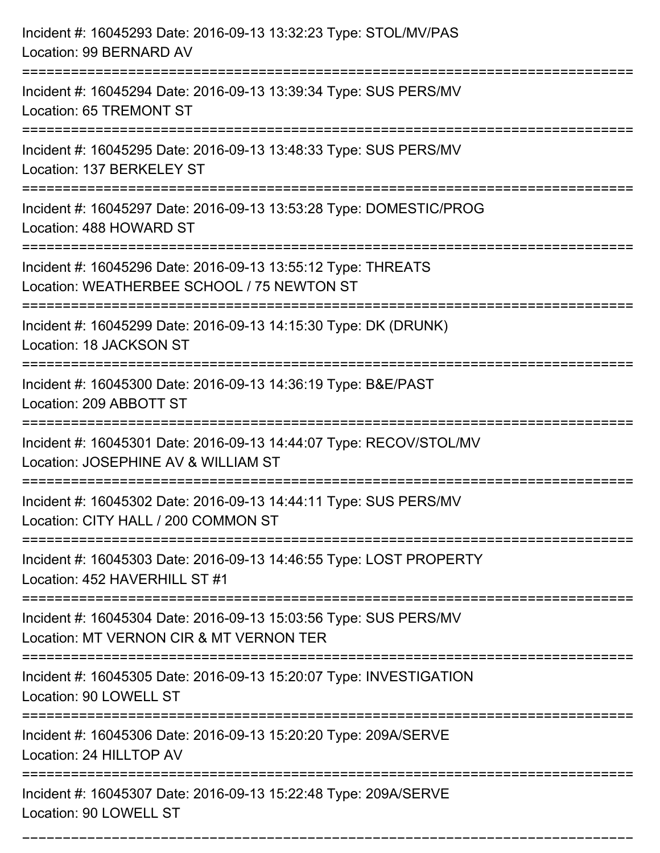| Incident #: 16045293 Date: 2016-09-13 13:32:23 Type: STOL/MV/PAS<br>Location: 99 BERNARD AV                                                                                    |
|--------------------------------------------------------------------------------------------------------------------------------------------------------------------------------|
| Incident #: 16045294 Date: 2016-09-13 13:39:34 Type: SUS PERS/MV<br>Location: 65 TREMONT ST                                                                                    |
| Incident #: 16045295 Date: 2016-09-13 13:48:33 Type: SUS PERS/MV<br>Location: 137 BERKELEY ST                                                                                  |
| Incident #: 16045297 Date: 2016-09-13 13:53:28 Type: DOMESTIC/PROG<br>Location: 488 HOWARD ST                                                                                  |
| Incident #: 16045296 Date: 2016-09-13 13:55:12 Type: THREATS<br>Location: WEATHERBEE SCHOOL / 75 NEWTON ST<br>===================================<br>========================= |
| Incident #: 16045299 Date: 2016-09-13 14:15:30 Type: DK (DRUNK)<br>Location: 18 JACKSON ST                                                                                     |
| Incident #: 16045300 Date: 2016-09-13 14:36:19 Type: B&E/PAST<br>Location: 209 ABBOTT ST                                                                                       |
| Incident #: 16045301 Date: 2016-09-13 14:44:07 Type: RECOV/STOL/MV<br>Location: JOSEPHINE AV & WILLIAM ST                                                                      |
| Incident #: 16045302 Date: 2016-09-13 14:44:11 Type: SUS PERS/MV<br>Location: CITY HALL / 200 COMMON ST                                                                        |
| Incident #: 16045303 Date: 2016-09-13 14:46:55 Type: LOST PROPERTY<br>Location: 452 HAVERHILL ST #1                                                                            |
| Incident #: 16045304 Date: 2016-09-13 15:03:56 Type: SUS PERS/MV<br>Location: MT VERNON CIR & MT VERNON TER                                                                    |
| Incident #: 16045305 Date: 2016-09-13 15:20:07 Type: INVESTIGATION<br>Location: 90 LOWELL ST                                                                                   |
| Incident #: 16045306 Date: 2016-09-13 15:20:20 Type: 209A/SERVE<br>Location: 24 HILLTOP AV                                                                                     |
| Incident #: 16045307 Date: 2016-09-13 15:22:48 Type: 209A/SERVE<br>Location: 90 LOWELL ST                                                                                      |

===========================================================================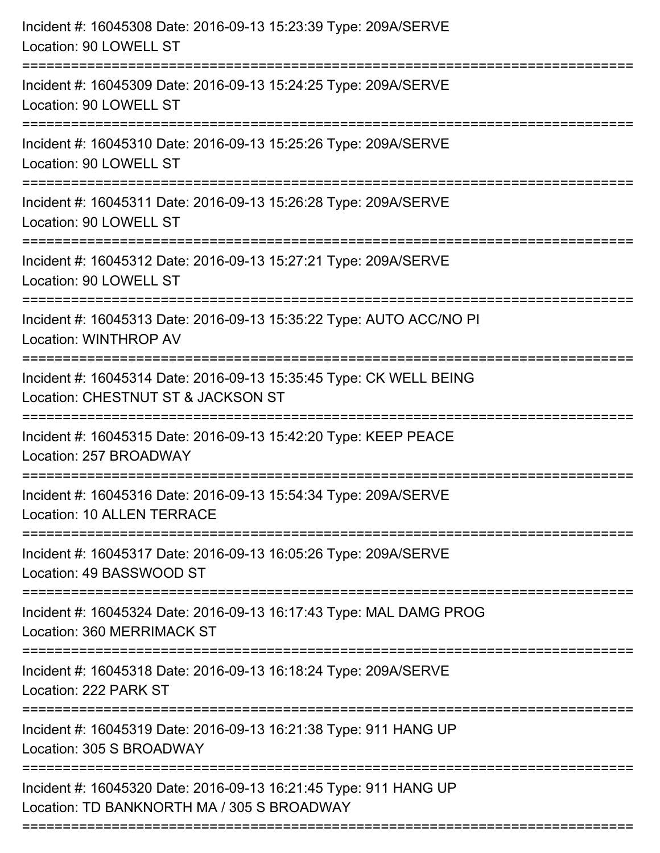| Incident #: 16045308 Date: 2016-09-13 15:23:39 Type: 209A/SERVE<br>Location: 90 LOWELL ST                                 |
|---------------------------------------------------------------------------------------------------------------------------|
| Incident #: 16045309 Date: 2016-09-13 15:24:25 Type: 209A/SERVE<br>Location: 90 LOWELL ST                                 |
| Incident #: 16045310 Date: 2016-09-13 15:25:26 Type: 209A/SERVE<br>Location: 90 LOWELL ST<br>---------------------------- |
| Incident #: 16045311 Date: 2016-09-13 15:26:28 Type: 209A/SERVE<br>Location: 90 LOWELL ST                                 |
| Incident #: 16045312 Date: 2016-09-13 15:27:21 Type: 209A/SERVE<br>Location: 90 LOWELL ST                                 |
| Incident #: 16045313 Date: 2016-09-13 15:35:22 Type: AUTO ACC/NO PI<br>Location: WINTHROP AV                              |
| Incident #: 16045314 Date: 2016-09-13 15:35:45 Type: CK WELL BEING<br>Location: CHESTNUT ST & JACKSON ST                  |
| Incident #: 16045315 Date: 2016-09-13 15:42:20 Type: KEEP PEACE<br>Location: 257 BROADWAY                                 |
| Incident #: 16045316 Date: 2016-09-13 15:54:34 Type: 209A/SERVE<br><b>Location: 10 ALLEN TERRACE</b>                      |
| Incident #: 16045317 Date: 2016-09-13 16:05:26 Type: 209A/SERVE<br>Location: 49 BASSWOOD ST                               |
| Incident #: 16045324 Date: 2016-09-13 16:17:43 Type: MAL DAMG PROG<br>Location: 360 MERRIMACK ST                          |
| Incident #: 16045318 Date: 2016-09-13 16:18:24 Type: 209A/SERVE<br>Location: 222 PARK ST                                  |
| Incident #: 16045319 Date: 2016-09-13 16:21:38 Type: 911 HANG UP<br>Location: 305 S BROADWAY                              |
| Incident #: 16045320 Date: 2016-09-13 16:21:45 Type: 911 HANG UP<br>Location: TD BANKNORTH MA / 305 S BROADWAY            |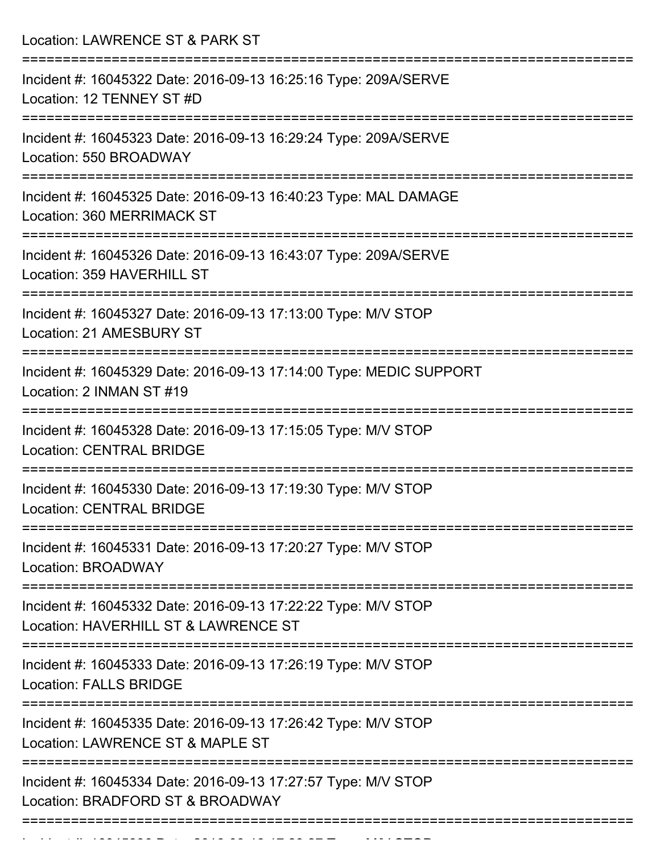Location: LAWRENCE ST & PARK ST =========================================================================== Incident #: 16045322 Date: 2016-09-13 16:25:16 Type: 209A/SERVE Location: 12 TENNEY ST #D =========================================================================== Incident #: 16045323 Date: 2016-09-13 16:29:24 Type: 209A/SERVE Location: 550 BROADWAY =========================================================================== Incident #: 16045325 Date: 2016-09-13 16:40:23 Type: MAL DAMAGE Location: 360 MERRIMACK ST =========================================================================== Incident #: 16045326 Date: 2016-09-13 16:43:07 Type: 209A/SERVE Location: 359 HAVERHILL ST =========================================================================== Incident #: 16045327 Date: 2016-09-13 17:13:00 Type: M/V STOP Location: 21 AMESBURY ST =========================================================================== Incident #: 16045329 Date: 2016-09-13 17:14:00 Type: MEDIC SUPPORT Location: 2 INMAN ST #19 =========================================================================== Incident #: 16045328 Date: 2016-09-13 17:15:05 Type: M/V STOP Location: CENTRAL BRIDGE =========================================================================== Incident #: 16045330 Date: 2016-09-13 17:19:30 Type: M/V STOP Location: CENTRAL BRIDGE =========================================================================== Incident #: 16045331 Date: 2016-09-13 17:20:27 Type: M/V STOP Location: BROADWAY =========================================================================== Incident #: 16045332 Date: 2016-09-13 17:22:22 Type: M/V STOP Location: HAVERHILL ST & LAWRENCE ST =========================================================================== Incident #: 16045333 Date: 2016-09-13 17:26:19 Type: M/V STOP Location: FALLS BRIDGE =========================================================================== Incident #: 16045335 Date: 2016-09-13 17:26:42 Type: M/V STOP Location: LAWRENCE ST & MAPLE ST =========================================================================== Incident #: 16045334 Date: 2016-09-13 17:27:57 Type: M/V STOP Location: BRADFORD ST & BROADWAY ===========================================================================

Incident #: 1604534 Date: 2016 09 13 17:28:27 Type: Microsoft.com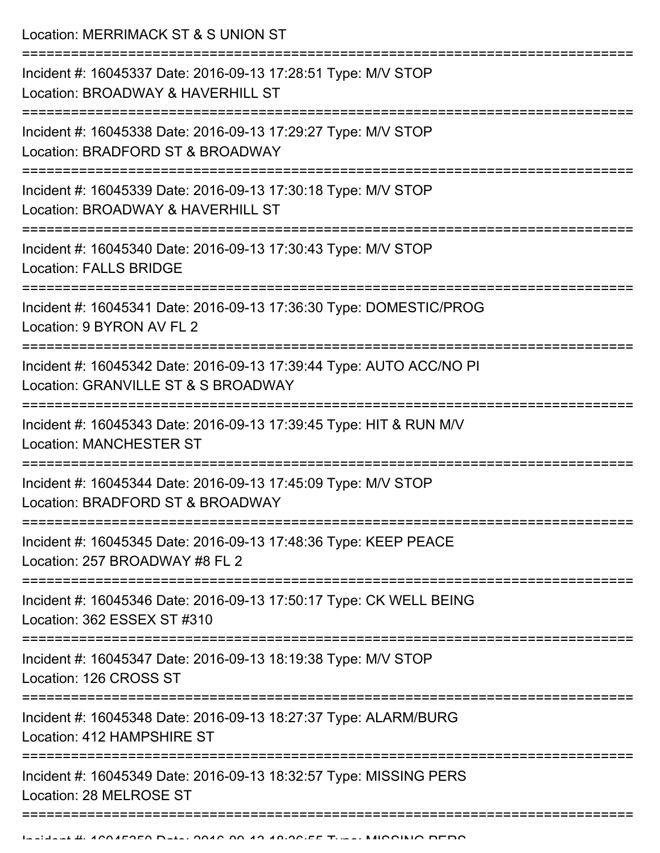Location: MERRIMACK ST & S UNION ST

| Incident #: 16045337 Date: 2016-09-13 17:28:51 Type: M/V STOP<br>Location: BROADWAY & HAVERHILL ST         |
|------------------------------------------------------------------------------------------------------------|
| Incident #: 16045338 Date: 2016-09-13 17:29:27 Type: M/V STOP<br>Location: BRADFORD ST & BROADWAY          |
| Incident #: 16045339 Date: 2016-09-13 17:30:18 Type: M/V STOP<br>Location: BROADWAY & HAVERHILL ST         |
| Incident #: 16045340 Date: 2016-09-13 17:30:43 Type: M/V STOP<br><b>Location: FALLS BRIDGE</b>             |
| Incident #: 16045341 Date: 2016-09-13 17:36:30 Type: DOMESTIC/PROG<br>Location: 9 BYRON AV FL 2            |
| Incident #: 16045342 Date: 2016-09-13 17:39:44 Type: AUTO ACC/NO PI<br>Location: GRANVILLE ST & S BROADWAY |
| Incident #: 16045343 Date: 2016-09-13 17:39:45 Type: HIT & RUN M/V<br><b>Location: MANCHESTER ST</b>       |
| Incident #: 16045344 Date: 2016-09-13 17:45:09 Type: M/V STOP<br>Location: BRADFORD ST & BROADWAY          |
| Incident #: 16045345 Date: 2016-09-13 17:48:36 Type: KEEP PEACE<br>Location: 257 BROADWAY #8 FL 2          |
| Incident #: 16045346 Date: 2016-09-13 17:50:17 Type: CK WELL BEING<br>Location: 362 ESSEX ST #310          |
| Incident #: 16045347 Date: 2016-09-13 18:19:38 Type: M/V STOP<br>Location: 126 CROSS ST                    |
| Incident #: 16045348 Date: 2016-09-13 18:27:37 Type: ALARM/BURG<br>Location: 412 HAMPSHIRE ST              |
| Incident #: 16045349 Date: 2016-09-13 18:32:57 Type: MISSING PERS<br>Location: 28 MELROSE ST               |
|                                                                                                            |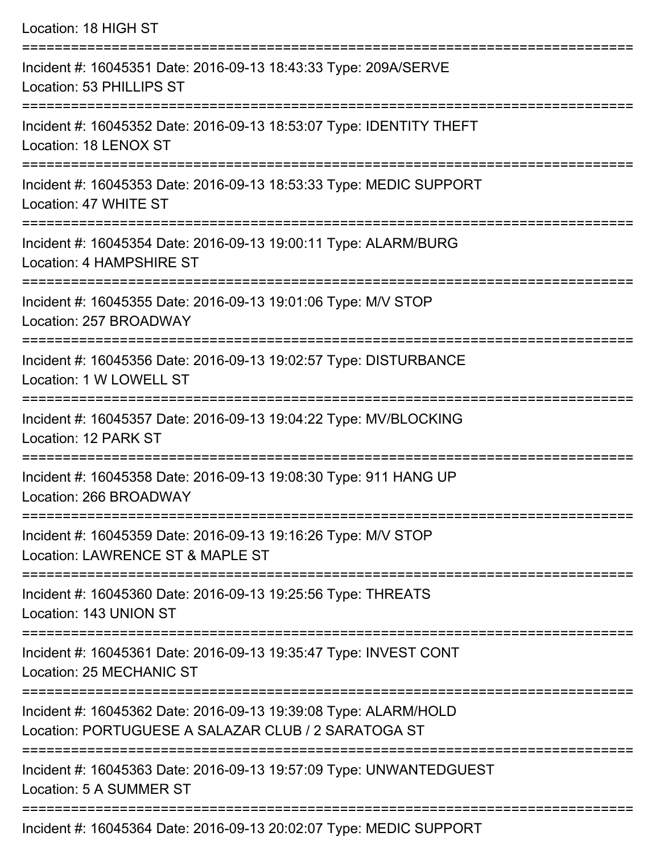| Location: 18 HIGH ST                                                                                                   |
|------------------------------------------------------------------------------------------------------------------------|
| Incident #: 16045351 Date: 2016-09-13 18:43:33 Type: 209A/SERVE<br>Location: 53 PHILLIPS ST                            |
| Incident #: 16045352 Date: 2016-09-13 18:53:07 Type: IDENTITY THEFT<br>Location: 18 LENOX ST                           |
| Incident #: 16045353 Date: 2016-09-13 18:53:33 Type: MEDIC SUPPORT<br>Location: 47 WHITE ST                            |
| Incident #: 16045354 Date: 2016-09-13 19:00:11 Type: ALARM/BURG<br>Location: 4 HAMPSHIRE ST                            |
| Incident #: 16045355 Date: 2016-09-13 19:01:06 Type: M/V STOP<br>Location: 257 BROADWAY                                |
| Incident #: 16045356 Date: 2016-09-13 19:02:57 Type: DISTURBANCE<br>Location: 1 W LOWELL ST                            |
| Incident #: 16045357 Date: 2016-09-13 19:04:22 Type: MV/BLOCKING<br>Location: 12 PARK ST                               |
| Incident #: 16045358 Date: 2016-09-13 19:08:30 Type: 911 HANG UP<br>Location: 266 BROADWAY                             |
| Incident #: 16045359 Date: 2016-09-13 19:16:26 Type: M/V STOP<br>Location: LAWRENCE ST & MAPLE ST                      |
| Incident #: 16045360 Date: 2016-09-13 19:25:56 Type: THREATS<br>Location: 143 UNION ST                                 |
| Incident #: 16045361 Date: 2016-09-13 19:35:47 Type: INVEST CONT<br>Location: 25 MECHANIC ST                           |
| Incident #: 16045362 Date: 2016-09-13 19:39:08 Type: ALARM/HOLD<br>Location: PORTUGUESE A SALAZAR CLUB / 2 SARATOGA ST |
| Incident #: 16045363 Date: 2016-09-13 19:57:09 Type: UNWANTEDGUEST<br>Location: 5 A SUMMER ST                          |

Incident #: 16045364 Date: 2016-09-13 20:02:07 Type: MEDIC SUPPORT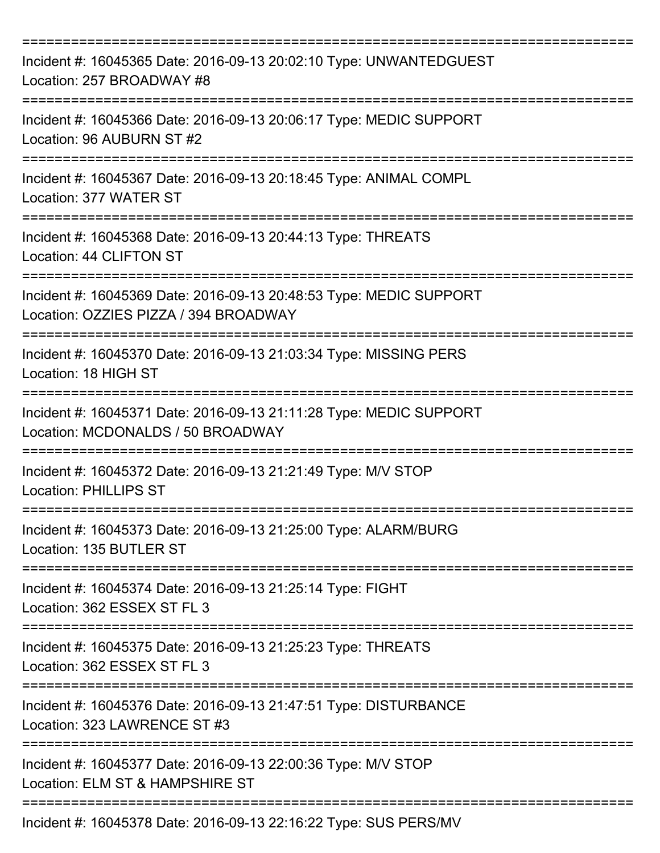| Incident #: 16045365 Date: 2016-09-13 20:02:10 Type: UNWANTEDGUEST<br>Location: 257 BROADWAY #8             |
|-------------------------------------------------------------------------------------------------------------|
| Incident #: 16045366 Date: 2016-09-13 20:06:17 Type: MEDIC SUPPORT<br>Location: 96 AUBURN ST #2             |
| Incident #: 16045367 Date: 2016-09-13 20:18:45 Type: ANIMAL COMPL<br>Location: 377 WATER ST                 |
| Incident #: 16045368 Date: 2016-09-13 20:44:13 Type: THREATS<br>Location: 44 CLIFTON ST                     |
| Incident #: 16045369 Date: 2016-09-13 20:48:53 Type: MEDIC SUPPORT<br>Location: OZZIES PIZZA / 394 BROADWAY |
| Incident #: 16045370 Date: 2016-09-13 21:03:34 Type: MISSING PERS<br>Location: 18 HIGH ST                   |
| Incident #: 16045371 Date: 2016-09-13 21:11:28 Type: MEDIC SUPPORT<br>Location: MCDONALDS / 50 BROADWAY     |
| Incident #: 16045372 Date: 2016-09-13 21:21:49 Type: M/V STOP<br><b>Location: PHILLIPS ST</b>               |
| Incident #: 16045373 Date: 2016-09-13 21:25:00 Type: ALARM/BURG<br>Location: 135 BUTLER ST                  |
| Incident #: 16045374 Date: 2016-09-13 21:25:14 Type: FIGHT<br>Location: 362 ESSEX ST FL 3                   |
| Incident #: 16045375 Date: 2016-09-13 21:25:23 Type: THREATS<br>Location: 362 ESSEX ST FL 3                 |
| Incident #: 16045376 Date: 2016-09-13 21:47:51 Type: DISTURBANCE<br>Location: 323 LAWRENCE ST #3            |
| Incident #: 16045377 Date: 2016-09-13 22:00:36 Type: M/V STOP<br>Location: ELM ST & HAMPSHIRE ST            |
| Incident #: 16045378 Date: 2016-09-13 22:16:22 Type: SUS PERS/MV                                            |